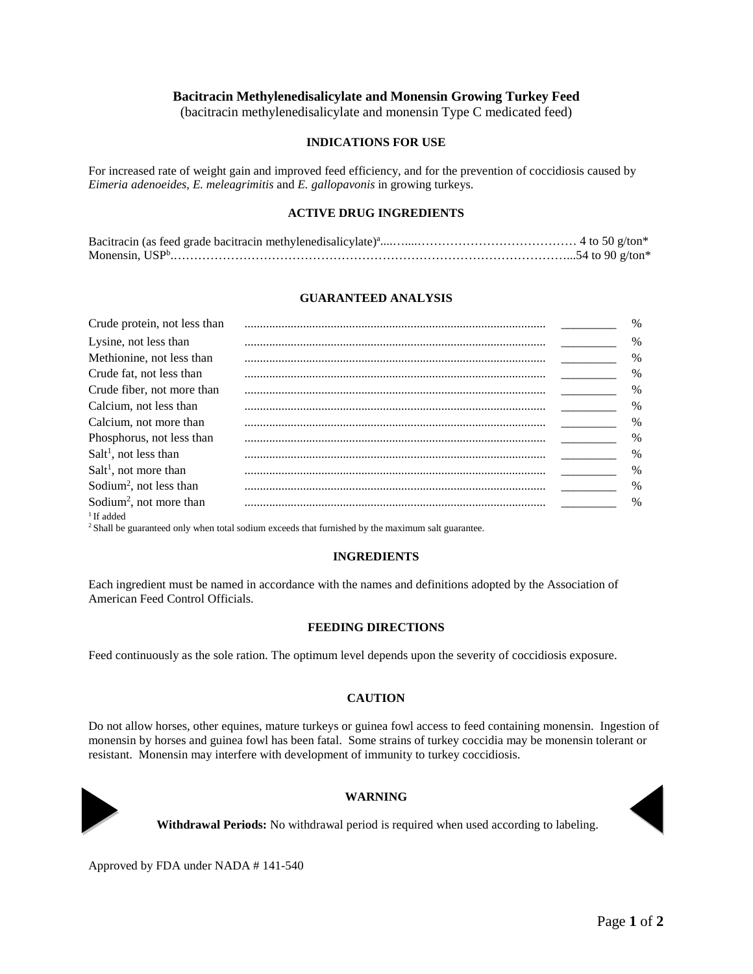# **Bacitracin Methylenedisalicylate and Monensin Growing Turkey Feed**

(bacitracin methylenedisalicylate and monensin Type C medicated feed)

## **INDICATIONS FOR USE**

For increased rate of weight gain and improved feed efficiency, and for the prevention of coccidiosis caused by *Eimeria adenoeides, E. meleagrimitis* and *E. gallopavonis* in growing turkeys.

#### **ACTIVE DRUG INGREDIENTS**

#### **GUARANTEED ANALYSIS**

| Crude protein, not less than        | $\%$          |
|-------------------------------------|---------------|
| Lysine, not less than               | $\%$          |
| Methionine, not less than           | $\%$          |
| Crude fat, not less than            | $\frac{0}{0}$ |
| Crude fiber, not more than          | $\frac{0}{0}$ |
| Calcium, not less than              | $\frac{0}{0}$ |
| Calcium, not more than              | $\frac{0}{0}$ |
| Phosphorus, not less than           | $\frac{0}{0}$ |
| $Salt1$ , not less than             | $\frac{0}{0}$ |
| $Salt1$ , not more than             | $\frac{0}{0}$ |
| Sodium <sup>2</sup> , not less than | $\frac{0}{0}$ |
| Sodium <sup>2</sup> , not more than | $\frac{0}{0}$ |
| $1$ If added                        |               |

 $2$  Shall be guaranteed only when total sodium exceeds that furnished by the maximum salt guarantee.

## **INGREDIENTS**

Each ingredient must be named in accordance with the names and definitions adopted by the Association of American Feed Control Officials.

#### **FEEDING DIRECTIONS**

Feed continuously as the sole ration. The optimum level depends upon the severity of coccidiosis exposure.

## **CAUTION**

Do not allow horses, other equines, mature turkeys or guinea fowl access to feed containing monensin. Ingestion of monensin by horses and guinea fowl has been fatal. Some strains of turkey coccidia may be monensin tolerant or resistant. Monensin may interfere with development of immunity to turkey coccidiosis.



#### **WARNING**

**Withdrawal Periods:** No withdrawal period is required when used according to labeling.

Approved by FDA under NADA # 141-540